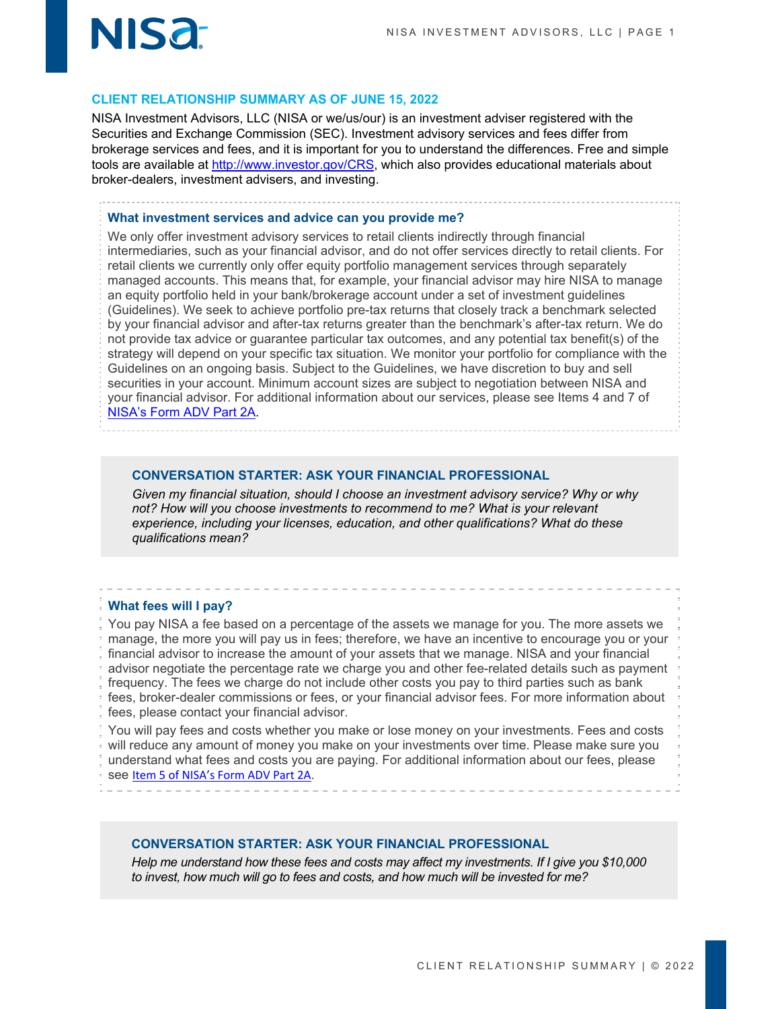

### **CLIENT RELATIONSHIP SUMMARY AS OF JUNE 15, 2022**

NISA Investment Advisors, LLC (NISA or we/us/our) is an investment adviser registered with the Securities and Exchange Commission (SEC). Investment advisory services and fees differ from brokerage services and fees, and it is important for you to understand the differences. Free and simple tools are available at http://www.investor.gov/CRS, which also provides educational materials about broker-dealers, investment advisers, and investing.

#### **What investment services and advice can you provide me?**

We only offer investment advisory services to retail clients indirectly through financial intermediaries, such as your financial advisor, and do not offer services directly to retail clients. For retail clients we currently only offer equity portfolio management services through separately managed accounts. This means that, for example, your financial advisor may hire NISA to manage an equity portfolio held in your bank/brokerage account under a set of investment guidelines (Guidelines). We seek to achieve portfolio pre-tax returns that closely track a benchmark selected by your financial advisor and after-tax returns greater than the benchmark's after-tax return. We do not provide tax advice or guarantee particular tax outcomes, and any potential tax benefit(s) of the strategy will depend on your specific tax situation. We monitor your portfolio for compliance with the Guidelines on an ongoing basis. Subject to the Guidelines, we have discretion to buy and sell securities in your account. Minimum account sizes are subject to negotiation between NISA and your financial advisor. For additional information about our services, please see Items 4 and 7 of NISA's Form ADV Part 2A.

#### **CONVERSATION STARTER: ASK YOUR FINANCIAL PROFESSIONAL**

*Given my financial situation, should I choose an investment advisory service? Why or why*  not? How will you choose investments to recommend to me? What is your relevant *experience, including your licenses, education, and other qualifications? What do these qualifications mean?*

#### **What fees will I pay?**

You pay NISA a fee based on a percentage of the assets we manage for you. The more assets we manage, the more you will pay us in fees; therefore, we have an incentive to encourage you or your financial advisor to increase the amount of your assets that we manage. NISA and your financial advisor negotiate the percentage rate we charge you and other fee-related details such as payment frequency. The fees we charge do not include other costs you pay to third parties such as bank fees, broker-dealer commissions or fees, or your financial advisor fees. For more information about fees, please contact your financial advisor.

You will pay fees and costs whether you make or lose money on your investments. Fees and costs will reduce any amount of money you make on your investments over time. Please make sure you understand what fees and costs you are paying. For additional information about our fees, please see Item 5 of NISA's Form ADV Part 2A.

#### **CONVERSATION STARTER: ASK YOUR FINANCIAL PROFESSIONAL**

*Help me understand how these fees and costs may affect my investments. If I give you \$10,000 to invest, how much will go to fees and costs, and how much will be invested for me?*